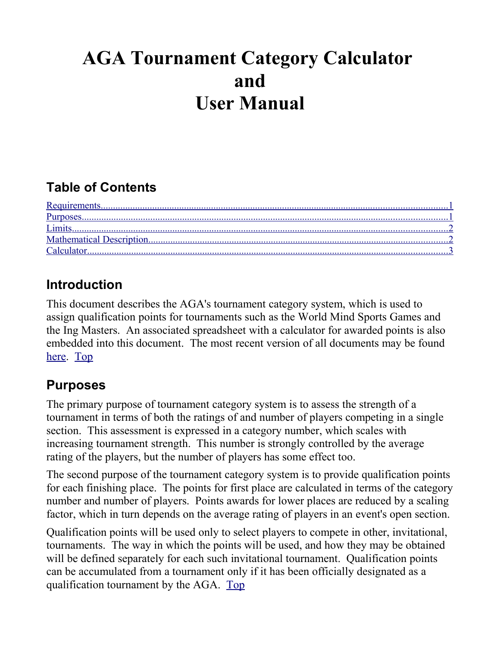# **AGA Tournament Category Calculator and User Manual**

## <span id="page-0-1"></span>**Table of Contents**

| Requirements         |  |
|----------------------|--|
|                      |  |
|                      |  |
| Mathematical Descrip |  |
|                      |  |

### <span id="page-0-0"></span>**Introduction**

This document describes the AGA's tournament category system, which is used to assign qualification points for tournaments such as the World Mind Sports Games and the Ing Masters. An associated spreadsheet with a calculator for awarded points is also embedded into this document. The most recent version of all documents may be found [here.](http://www.usgo.org/tournaments/Admin) [Top](#page-0-1)

### <span id="page-0-2"></span>**Purposes**

The primary purpose of tournament category system is to assess the strength of a tournament in terms of both the ratings of and number of players competing in a single section. This assessment is expressed in a category number, which scales with increasing tournament strength. This number is strongly controlled by the average rating of the players, but the number of players has some effect too.

The second purpose of the tournament category system is to provide qualification points for each finishing place. The points for first place are calculated in terms of the category number and number of players. Points awards for lower places are reduced by a scaling factor, which in turn depends on the average rating of players in an event's open section.

Qualification points will be used only to select players to compete in other, invitational, tournaments. The way in which the points will be used, and how they may be obtained will be defined separately for each such invitational tournament. Qualification points can be accumulated from a tournament only if it has been officially designated as a qualification tournament by the AGA. [Top](#page-0-1)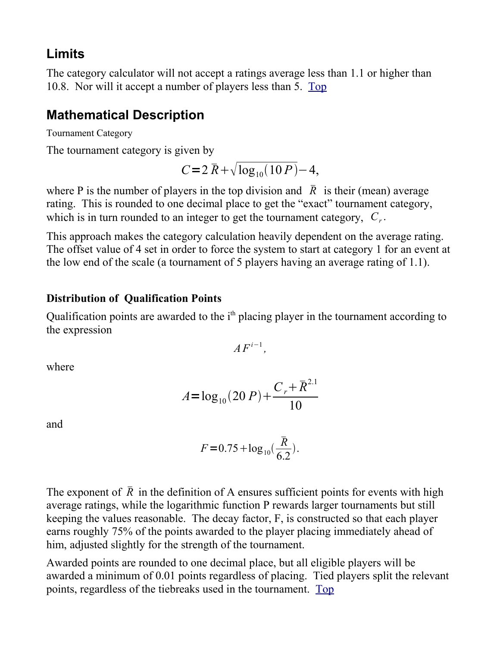#### <span id="page-1-1"></span>**Limits**

The category calculator will not accept a ratings average less than 1.1 or higher than 10.8. Nor will it accept a number of players less than 5. [Top](#page-0-1) 

### <span id="page-1-0"></span>**Mathematical Description**

Tournament Category

The tournament category is given by

$$
C = 2 \bar{R} + \sqrt{\log_{10}(10 P)} - 4,
$$

where P is the number of players in the top division and  $\bar{R}$  is their (mean) average rating. This is rounded to one decimal place to get the "exact" tournament category, which is in turn rounded to an integer to get the tournament category, *C<sup>r</sup>* .

This approach makes the category calculation heavily dependent on the average rating. The offset value of 4 set in order to force the system to start at category 1 for an event at the low end of the scale (a tournament of 5 players having an average rating of 1.1).

#### **Distribution of Qualification Points**

Qualification points are awarded to the i<sup>th</sup> placing player in the tournament according to the expression

$$
AF^{i-1}
$$

*,*

where

$$
A = \log_{10}(20\,P) + \frac{C_r + \overline{R}^{2.1}}{10}
$$

and

$$
F = 0.75 + \log_{10}(\frac{\bar{R}}{6.2}).
$$

The exponent of  $\overline{R}$  in the definition of A ensures sufficient points for events with high average ratings, while the logarithmic function P rewards larger tournaments but still keeping the values reasonable. The decay factor, F, is constructed so that each player earns roughly 75% of the points awarded to the player placing immediately ahead of him, adjusted slightly for the strength of the tournament.

Awarded points are rounded to one decimal place, but all eligible players will be awarded a minimum of 0.01 points regardless of placing. Tied players split the relevant points, regardless of the tiebreaks used in the tournament. [Top](#page-0-1)